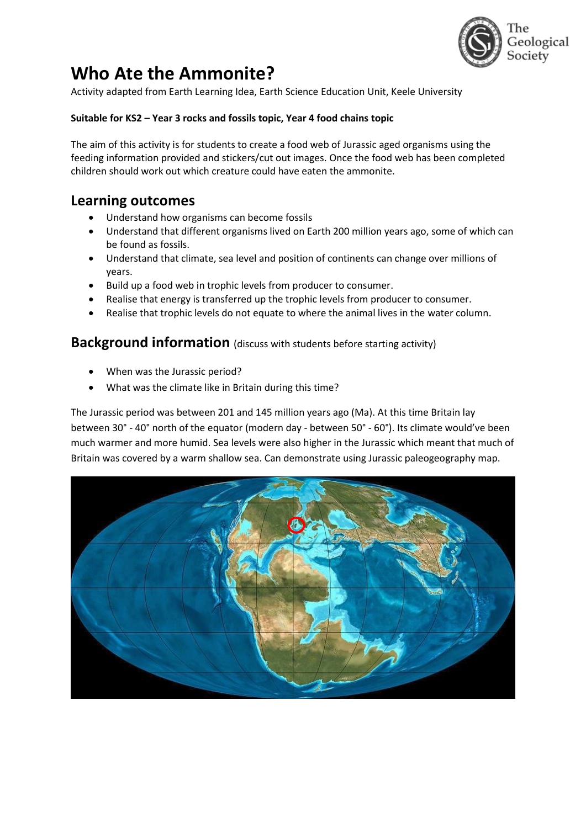

# **Who Ate the Ammonite?**

Activity adapted from Earth Learning Idea, Earth Science Education Unit, Keele University

#### **Suitable for KS2 – Year 3 rocks and fossils topic, Year 4 food chains topic**

The aim of this activity is for students to create a food web of Jurassic aged organisms using the feeding information provided and stickers/cut out images. Once the food web has been completed children should work out which creature could have eaten the ammonite.

### **Learning outcomes**

- Understand how organisms can become fossils
- Understand that different organisms lived on Earth 200 million years ago, some of which can be found as fossils.
- Understand that climate, sea level and position of continents can change over millions of years.
- Build up a food web in trophic levels from producer to consumer.
- Realise that energy is transferred up the trophic levels from producer to consumer.
- Realise that trophic levels do not equate to where the animal lives in the water column.

#### **Background information** (discuss with students before starting activity)

- When was the Jurassic period?
- What was the climate like in Britain during this time?

The Jurassic period was between 201 and 145 million years ago (Ma). At this time Britain lay between 30° - 40° north of the equator (modern day - between 50° - 60°). Its climate would've been much warmer and more humid. Sea levels were also higher in the Jurassic which meant that much of Britain was covered by a warm shallow sea. Can demonstrate using Jurassic paleogeography map.

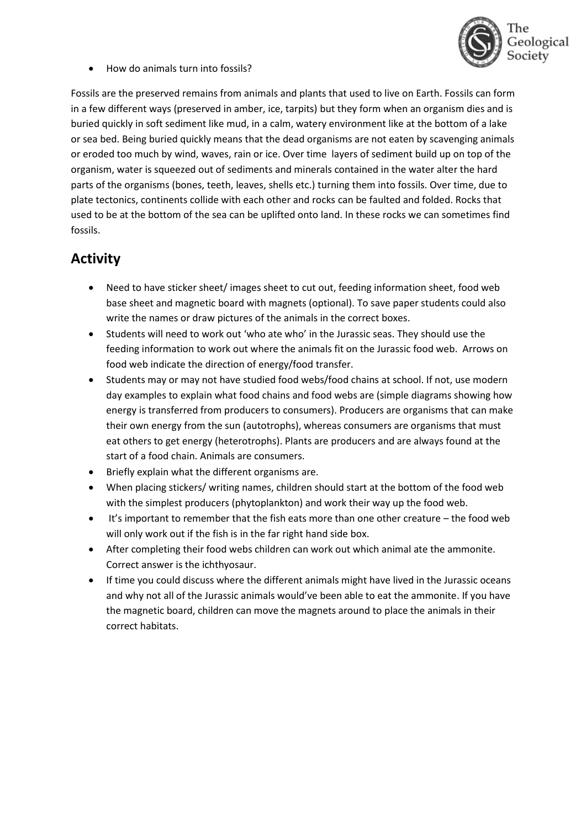

• How do animals turn into fossils?

Fossils are the preserved remains from animals and plants that used to live on Earth. Fossils can form in a few different ways (preserved in amber, ice, tarpits) but they form when an organism dies and is buried quickly in soft sediment like mud, in a calm, watery environment like at the bottom of a lake or sea bed. Being buried quickly means that the dead organisms are not eaten by scavenging animals or eroded too much by wind, waves, rain or ice. Over time layers of sediment build up on top of the organism, water is squeezed out of sediments and minerals contained in the water alter the hard parts of the organisms (bones, teeth, leaves, shells etc.) turning them into fossils. Over time, due to plate tectonics, continents collide with each other and rocks can be faulted and folded. Rocks that used to be at the bottom of the sea can be uplifted onto land. In these rocks we can sometimes find fossils.

## **Activity**

- Need to have sticker sheet/ images sheet to cut out, feeding information sheet, food web base sheet and magnetic board with magnets (optional). To save paper students could also write the names or draw pictures of the animals in the correct boxes.
- Students will need to work out 'who ate who' in the Jurassic seas. They should use the feeding information to work out where the animals fit on the Jurassic food web. Arrows on food web indicate the direction of energy/food transfer.
- Students may or may not have studied food webs/food chains at school. If not, use modern day examples to explain what food chains and food webs are (simple diagrams showing how energy is transferred from producers to consumers). Producers are organisms that can make their own energy from the sun (autotrophs), whereas consumers are organisms that must eat others to get energy (heterotrophs). Plants are producers and are always found at the start of a food chain. Animals are consumers.
- Briefly explain what the different organisms are.
- When placing stickers/ writing names, children should start at the bottom of the food web with the simplest producers (phytoplankton) and work their way up the food web.
- It's important to remember that the fish eats more than one other creature the food web will only work out if the fish is in the far right hand side box.
- After completing their food webs children can work out which animal ate the ammonite. Correct answer is the ichthyosaur.
- If time you could discuss where the different animals might have lived in the Jurassic oceans and why not all of the Jurassic animals would've been able to eat the ammonite. If you have the magnetic board, children can move the magnets around to place the animals in their correct habitats.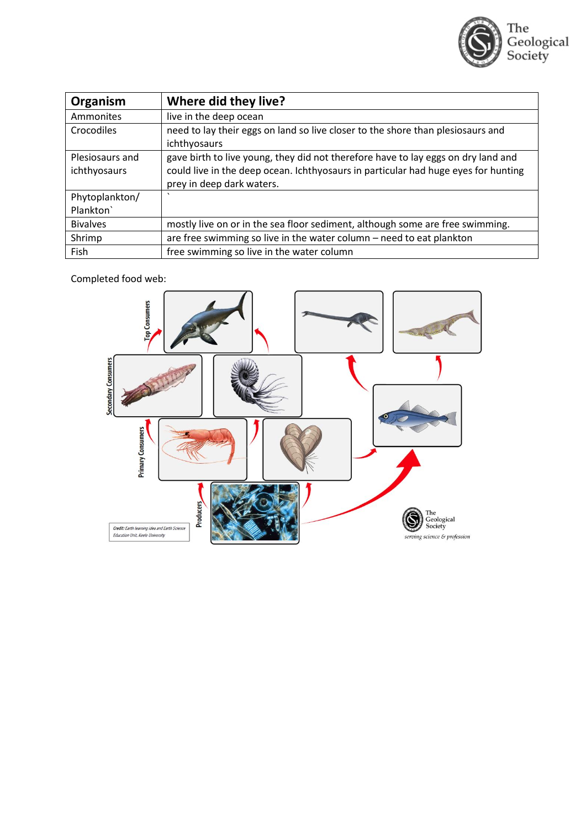

| Organism        | Where did they live?                                                               |
|-----------------|------------------------------------------------------------------------------------|
| Ammonites       | live in the deep ocean                                                             |
| Crocodiles      | need to lay their eggs on land so live closer to the shore than plesiosaurs and    |
|                 | ichthyosaurs                                                                       |
| Plesiosaurs and | gave birth to live young, they did not therefore have to lay eggs on dry land and  |
| ichthyosaurs    | could live in the deep ocean. Ichthyosaurs in particular had huge eyes for hunting |
|                 | prey in deep dark waters.                                                          |
| Phytoplankton/  | $\cdot$                                                                            |
| Plankton`       |                                                                                    |
| <b>Bivalves</b> | mostly live on or in the sea floor sediment, although some are free swimming.      |
| Shrimp          | are free swimming so live in the water column - need to eat plankton               |
| Fish            | free swimming so live in the water column                                          |

Completed food web:

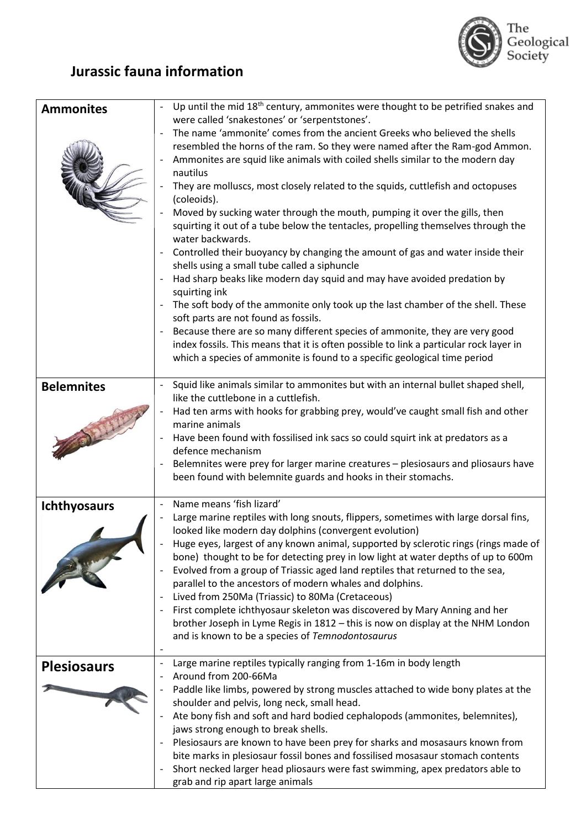

## **Jurassic fauna information**

| <b>Ammonites</b>    | Up until the mid 18 <sup>th</sup> century, ammonites were thought to be petrified snakes and<br>were called 'snakestones' or 'serpentstones'.                                                                                                                                                                                                                                                                                                                                                                                                                                                                                                                                                                                                                                                                                                                                                                                                                                                                                                                                                                                                                |
|---------------------|--------------------------------------------------------------------------------------------------------------------------------------------------------------------------------------------------------------------------------------------------------------------------------------------------------------------------------------------------------------------------------------------------------------------------------------------------------------------------------------------------------------------------------------------------------------------------------------------------------------------------------------------------------------------------------------------------------------------------------------------------------------------------------------------------------------------------------------------------------------------------------------------------------------------------------------------------------------------------------------------------------------------------------------------------------------------------------------------------------------------------------------------------------------|
|                     | The name 'ammonite' comes from the ancient Greeks who believed the shells<br>resembled the horns of the ram. So they were named after the Ram-god Ammon.<br>Ammonites are squid like animals with coiled shells similar to the modern day<br>nautilus<br>They are molluscs, most closely related to the squids, cuttlefish and octopuses<br>(coleoids).<br>Moved by sucking water through the mouth, pumping it over the gills, then<br>squirting it out of a tube below the tentacles, propelling themselves through the<br>water backwards.<br>Controlled their buoyancy by changing the amount of gas and water inside their<br>shells using a small tube called a siphuncle<br>Had sharp beaks like modern day squid and may have avoided predation by<br>squirting ink<br>The soft body of the ammonite only took up the last chamber of the shell. These<br>soft parts are not found as fossils.<br>Because there are so many different species of ammonite, they are very good<br>index fossils. This means that it is often possible to link a particular rock layer in<br>which a species of ammonite is found to a specific geological time period |
| <b>Belemnites</b>   | Squid like animals similar to ammonites but with an internal bullet shaped shell,<br>like the cuttlebone in a cuttlefish.<br>Had ten arms with hooks for grabbing prey, would've caught small fish and other<br>marine animals<br>Have been found with fossilised ink sacs so could squirt ink at predators as a                                                                                                                                                                                                                                                                                                                                                                                                                                                                                                                                                                                                                                                                                                                                                                                                                                             |
|                     | defence mechanism<br>Belemnites were prey for larger marine creatures - plesiosaurs and pliosaurs have<br>been found with belemnite guards and hooks in their stomachs.                                                                                                                                                                                                                                                                                                                                                                                                                                                                                                                                                                                                                                                                                                                                                                                                                                                                                                                                                                                      |
| <b>Ichthyosaurs</b> | Name means 'fish lizard'<br>$\overline{\phantom{a}}$<br>Large marine reptiles with long snouts, flippers, sometimes with large dorsal fins,<br>looked like modern day dolphins (convergent evolution)<br>Huge eyes, largest of any known animal, supported by sclerotic rings (rings made of<br>bone) thought to be for detecting prey in low light at water depths of up to 600m<br>Evolved from a group of Triassic aged land reptiles that returned to the sea,<br>parallel to the ancestors of modern whales and dolphins.<br>Lived from 250Ma (Triassic) to 80Ma (Cretaceous)<br>First complete ichthyosaur skeleton was discovered by Mary Anning and her<br>brother Joseph in Lyme Regis in 1812 - this is now on display at the NHM London<br>and is known to be a species of Temnodontosaurus                                                                                                                                                                                                                                                                                                                                                       |
| <b>Plesiosaurs</b>  | Large marine reptiles typically ranging from 1-16m in body length<br>Around from 200-66Ma<br>Paddle like limbs, powered by strong muscles attached to wide bony plates at the<br>shoulder and pelvis, long neck, small head.<br>Ate bony fish and soft and hard bodied cephalopods (ammonites, belemnites),<br>jaws strong enough to break shells.<br>Plesiosaurs are known to have been prey for sharks and mosasaurs known from<br>bite marks in plesiosaur fossil bones and fossilised mosasaur stomach contents<br>Short necked larger head pliosaurs were fast swimming, apex predators able to<br>grab and rip apart large animals                                                                                                                                                                                                                                                                                                                                                                                                                                                                                                                     |